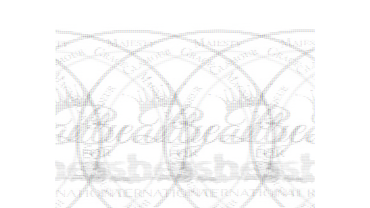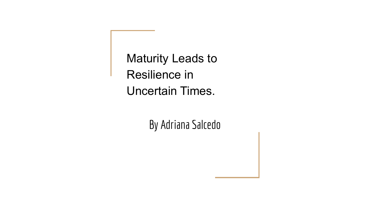Maturity Leads to Resilience in Uncertain Times.

By Adriana Salcedo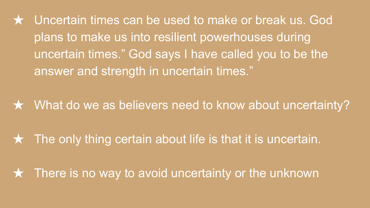★ Uncertain times can be used to make or break us. God plans to make us into resilient powerhouses during uncertain times." God says I have called you to be the answer and strength in uncertain times."

★ What do we as believers need to know about uncertainty?

 $\star$  The only thing certain about life is that it is uncertain.

★ There is no way to avoid uncertainty or the unknown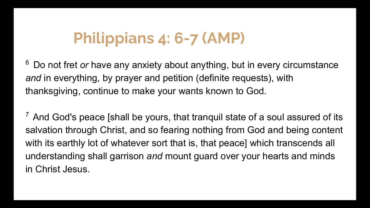## **Philippians 4: 6-7 (AMP)**

<sup>6</sup> Do not fret *or* have any anxiety about anything, but in every circumstance *and* in everything, by prayer and petition (definite requests), with thanksgiving, continue to make your wants known to God.

 $<sup>7</sup>$  And God's peace [shall be yours, that tranquil state of a soul assured of its</sup> salvation through Christ, and so fearing nothing from God and being content with its earthly lot of whatever sort that is, that peace] which transcends all understanding shall garrison *and* mount guard over your hearts and minds in Christ Jesus.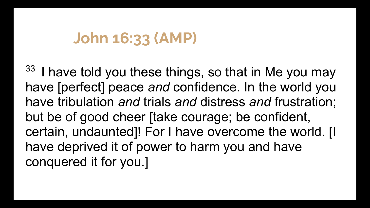## **John 16:33 (AMP)**

 $33$  I have told you these things, so that in Me you may have [perfect] peace *and* confidence. In the world you have tribulation *and* trials *and* distress *and* frustration; but be of good cheer [take courage; be confident, certain, undaunted]! For I have overcome the world. [I have deprived it of power to harm you and have conquered it for you.]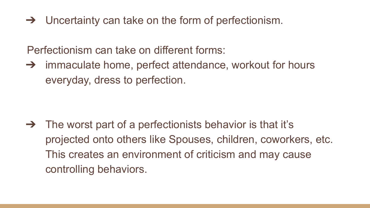➔ Uncertainty can take on the form of perfectionism.

Perfectionism can take on different forms:

➔ immaculate home, perfect attendance, workout for hours everyday, dress to perfection.

 $\rightarrow$  The worst part of a perfectionists behavior is that it's projected onto others like Spouses, children, coworkers, etc. This creates an environment of criticism and may cause controlling behaviors.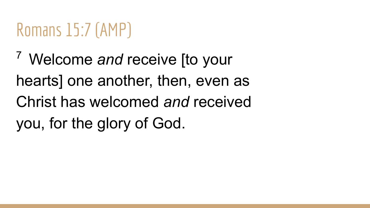## Romans 15:7 (AMP)

7 Welcome *and* receive [to your hearts] one another, then, even as Christ has welcomed *and* received you, for the glory of God.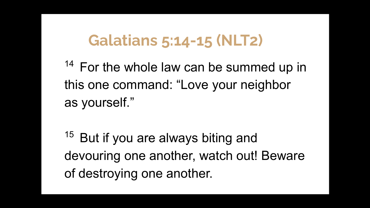### **Galatians 5:14-15 (NLT2)**

 $14$  For the whole law can be summed up in this one command: "Love your neighbor as yourself."

<sup>15</sup> But if you are always biting and devouring one another, watch out! Beware of destroying one another.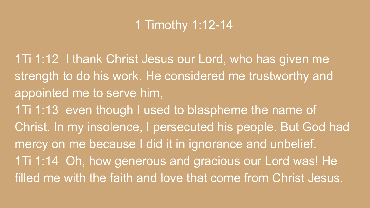### 1 Timothy 1:12-14

1Ti 1:12 I thank Christ Jesus our Lord, who has given me strength to do his work. He considered me trustworthy and appointed me to serve him, 1Ti 1:13 even though I used to blaspheme the name of Christ. In my insolence, I persecuted his people. But God had mercy on me because I did it in ignorance and unbelief. 1Ti 1:14 Oh, how generous and gracious our Lord was! He filled me with the faith and love that come from Christ Jesus.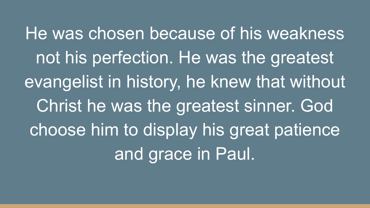He was chosen because of his weakness not his perfection. He was the greatest evangelist in history, he knew that without Christ he was the greatest sinner. God choose him to display his great patience and grace in Paul.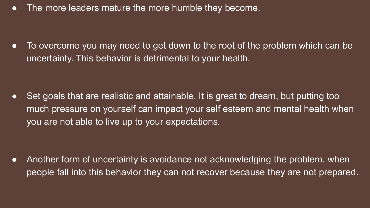● The more leaders mature the more humble they become.

• To overcome you may need to get down to the root of the problem which can be uncertainty. This behavior is detrimental to your health.

• Set goals that are realistic and attainable. It is great to dream, but putting too much pressure on yourself can impact your self esteem and mental health when you are not able to live up to your expectations.

• Another form of uncertainty is avoidance not acknowledging the problem. when people fall into this behavior they can not recover because they are not prepared.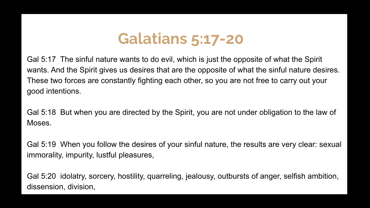### **Galatians 5:17-20**

Gal 5:17 The sinful nature wants to do evil, which is just the opposite of what the Spirit wants. And the Spirit gives us desires that are the opposite of what the sinful nature desires. These two forces are constantly fighting each other, so you are not free to carry out your good intentions.

Gal 5:18 But when you are directed by the Spirit, you are not under obligation to the law of Moses.

Gal 5:19 When you follow the desires of your sinful nature, the results are very clear: sexual immorality, impurity, lustful pleasures,

Gal 5:20 idolatry, sorcery, hostility, quarreling, jealousy, outbursts of anger, selfish ambition, dissension, division,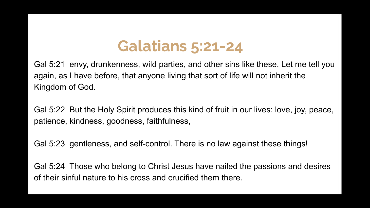### **Galatians 5:21-24**

Gal 5:21 envy, drunkenness, wild parties, and other sins like these. Let me tell you again, as I have before, that anyone living that sort of life will not inherit the Kingdom of God.

Gal 5:22 But the Holy Spirit produces this kind of fruit in our lives: love, joy, peace, patience, kindness, goodness, faithfulness,

Gal 5:23 gentleness, and self-control. There is no law against these things!

Gal 5:24 Those who belong to Christ Jesus have nailed the passions and desires of their sinful nature to his cross and crucified them there.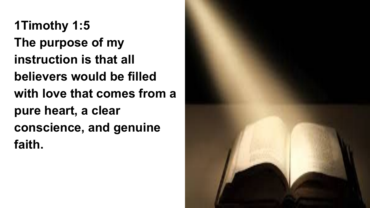**1Timothy 1:5 The purpose of my instruction is that all believers would be filled with love that comes from a pure heart, a clear conscience, and genuine faith.** 

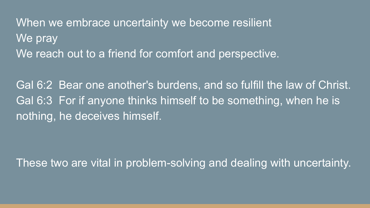When we embrace uncertainty we become resilient We pray We reach out to a friend for comfort and perspective.

Gal 6:2 Bear one another's burdens, and so fulfill the law of Christ. Gal 6:3 For if anyone thinks himself to be something, when he is nothing, he deceives himself.

These two are vital in problem-solving and dealing with uncertainty.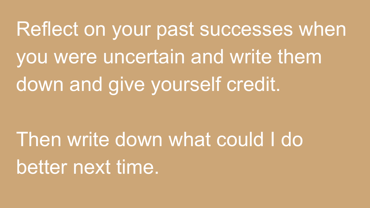Reflect on your past successes when you were uncertain and write them down and give yourself credit.

# Then write down what could I do better next time.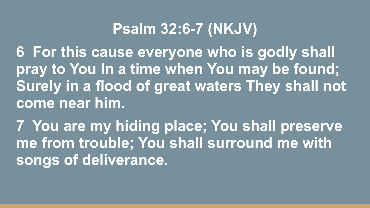### **Psalm 32:6-7 (NKJV)**

**6 For this cause everyone who is godly shall pray to You In a time when You may be found; Surely in a flood of great waters They shall not come near him.** 

**7 You are my hiding place; You shall preserve me from trouble; You shall surround me with songs of deliverance.**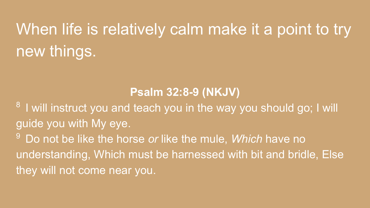## When life is relatively calm make it a point to try new things.

### **Psalm 32:8-9 (NKJV)**

<sup>8</sup> I will instruct you and teach you in the way you should go; I will guide you with My eye.

9 Do not be like the horse *or* like the mule, *Which* have no understanding, Which must be harnessed with bit and bridle, Else they will not come near you.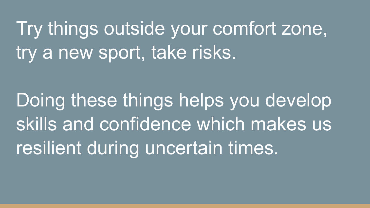# Try things outside your comfort zone, try a new sport, take risks.

Doing these things helps you develop skills and confidence which makes us resilient during uncertain times.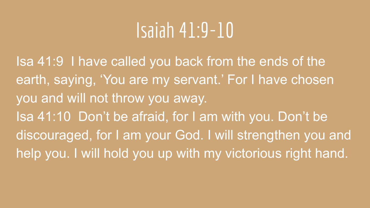## Isaiah 41:9-10

Isa 41:9 I have called you back from the ends of the earth, saying, 'You are my servant.' For I have chosen you and will not throw you away. Isa 41:10 Don't be afraid, for I am with you. Don't be discouraged, for I am your God. I will strengthen you and help you. I will hold you up with my victorious right hand.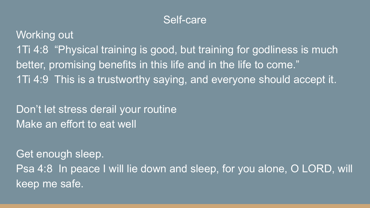#### Self-care

Working out 1Ti 4:8 "Physical training is good, but training for godliness is much better, promising benefits in this life and in the life to come." 1Ti 4:9 This is a trustworthy saying, and everyone should accept it.

Don't let stress derail your routine Make an effort to eat well

Get enough sleep. Psa 4:8 In peace I will lie down and sleep, for you alone, O LORD, will keep me safe.